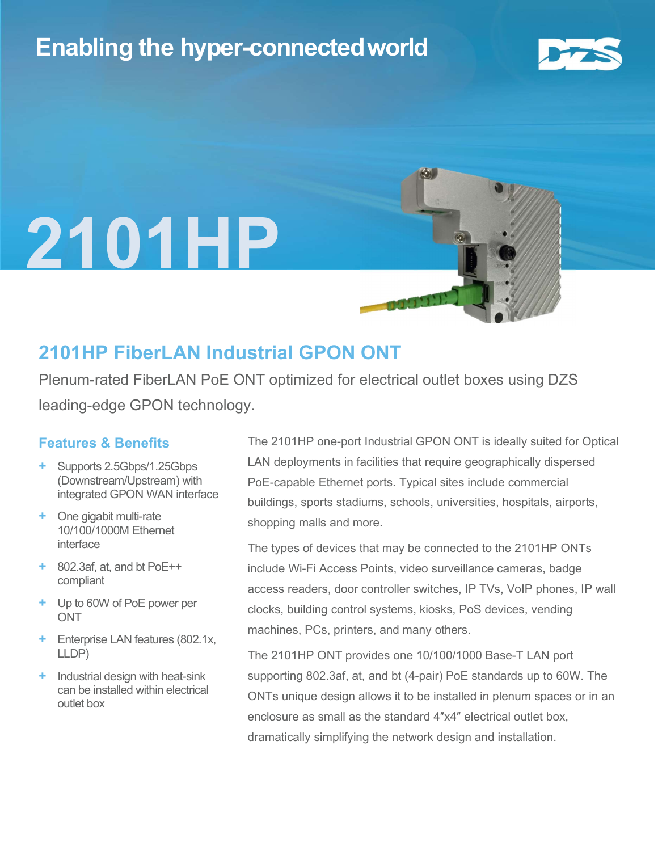## Enabling the hyper-connectedworld



l



### 2101HP FiberLAN Industrial GPON ONT

Plenum-rated FiberLAN PoE ONT optimized for electrical outlet boxes using DZS leading-edge GPON technology.

#### Features & Benefits

- + Supports 2.5Gbps/1.25Gbps (Downstream/Upstream) with integrated GPON WAN interface
- + One gigabit multi-rate 10/100/1000M Ethernet interface
- + 802.3af, at, and bt PoE++ compliant
- + Up to 60W of PoE power per **ONT**
- + Enterprise LAN features (802.1x, LLDP)
- + Industrial design with heat-sink can be installed within electrical outlet box

The 2101HP one-port Industrial GPON ONT is ideally suited for Optical LAN deployments in facilities that require geographically dispersed PoE-capable Ethernet ports. Typical sites include commercial buildings, sports stadiums, schools, universities, hospitals, airports, shopping malls and more.

The types of devices that may be connected to the 2101HP ONTs include Wi-Fi Access Points, video surveillance cameras, badge access readers, door controller switches, IP TVs, VoIP phones, IP wall clocks, building control systems, kiosks, PoS devices, vending machines, PCs, printers, and many others.

The 2101HP ONT provides one 10/100/1000 Base-T LAN port supporting 802.3af, at, and bt (4-pair) PoE standards up to 60W. The ONTs unique design allows it to be installed in plenum spaces or in an enclosure as small as the standard 4″x4″ electrical outlet box, dramatically simplifying the network design and installation.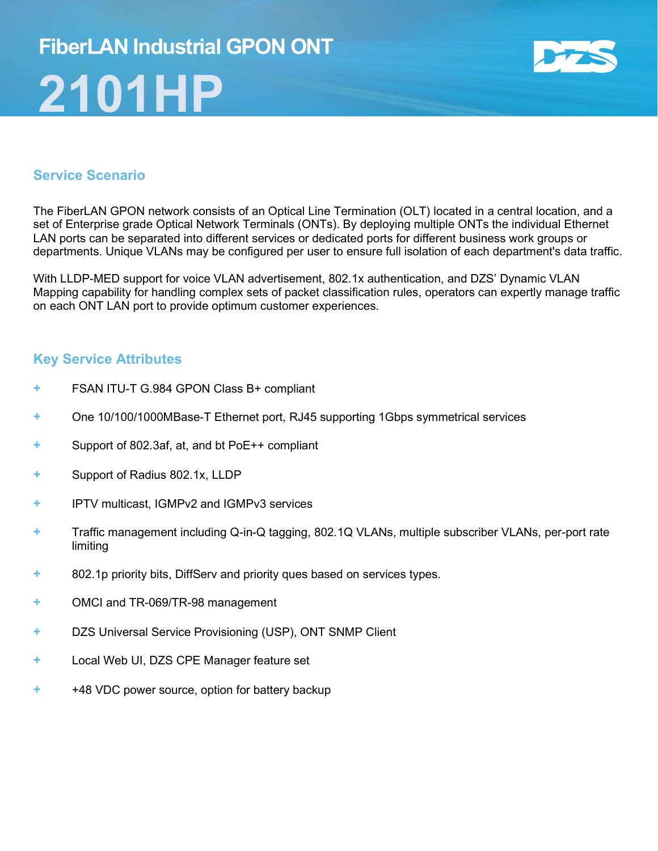## FiberLAN Industrial GPON ONT 2101HP



#### Service Scenario

The FiberLAN GPON network consists of an Optical Line Termination (OLT) located in a central location, and a set of Enterprise grade Optical Network Terminals (ONTs). By deploying multiple ONTs the individual Ethernet LAN ports can be separated into different services or dedicated ports for different business work groups or departments. Unique VLANs may be configured per user to ensure full isolation of each department's data traffic.

With LLDP-MED support for voice VLAN advertisement, 802.1x authentication, and DZS' Dynamic VLAN Mapping capability for handling complex sets of packet classification rules, operators can expertly manage traffic on each ONT LAN port to provide optimum customer experiences.

#### Key Service Attributes

- + FSAN ITU-T G.984 GPON Class B+ compliant
- + One 10/100/1000MBase-T Ethernet port, RJ45 supporting 1Gbps symmetrical services
- + Support of 802.3af, at, and bt PoE++ compliant
- + Support of Radius 802.1x, LLDP
- + IPTV multicast, IGMPv2 and IGMPv3 services
- + Traffic management including Q-in-Q tagging, 802.1Q VLANs, multiple subscriber VLANs, per-port rate limiting
- + 802.1p priority bits, DiffServ and priority ques based on services types.
- + OMCI and TR-069/TR-98 management
- + DZS Universal Service Provisioning (USP), ONT SNMP Client
- + Local Web UI, DZS CPE Manager feature set
- + +48 VDC power source, option for battery backup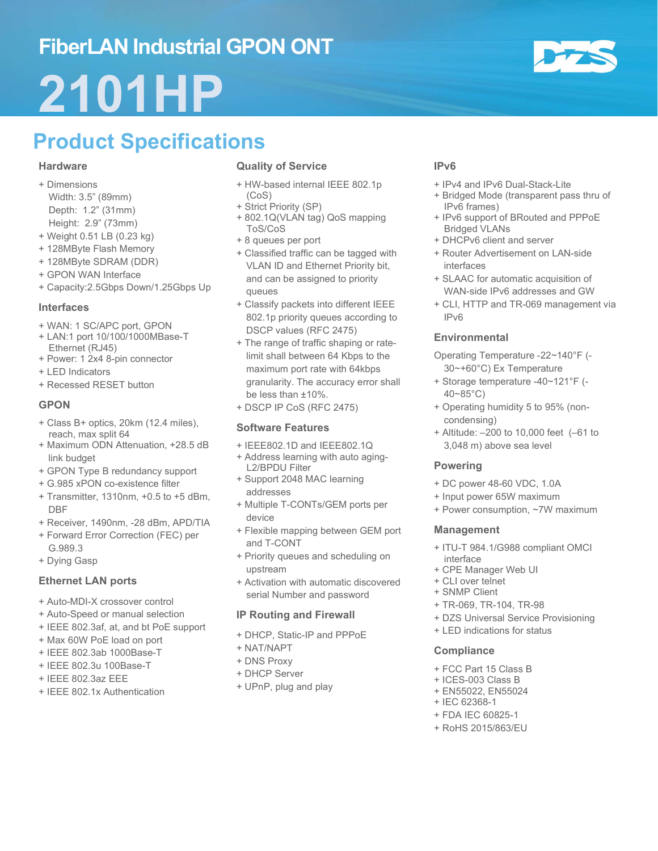## FiberLAN Industrial GPON ONT

# 2101HP

## Product Specifications

#### **Hardware**

- + Dimensions Width: 3.5" (89mm) Depth: 1.2" (31mm) Height: 2.9" (73mm)
- + Weight 0.51 LB (0.23 kg)
- + 128MByte Flash Memory
- + 128MByte SDRAM (DDR)
- + GPON WAN Interface
- + Capacity:2.5Gbps Down/1.25Gbps Up

#### Interfaces

- + WAN: 1 SC/APC port, GPON
- + LAN:1 port 10/100/1000MBase-T Ethernet (RJ45)
- + Power: 1 2x4 8-pin connector
- + LED Indicators
- + Recessed RESET button

#### **GPON**

- + Class B+ optics, 20km (12.4 miles), reach, max split 64
- + Maximum ODN Attenuation, +28.5 dB link budget
- + GPON Type B redundancy support
- + G.985 xPON co-existence filter
- + Transmitter, 1310nm, +0.5 to +5 dBm, DBF
- + Receiver, 1490nm, -28 dBm, APD/TIA
- + Forward Error Correction (FEC) per G.989.3
- + Dying Gasp

#### Ethernet LAN ports

- + Auto-MDI-X crossover control
- + Auto-Speed or manual selection
- + IEEE 802.3af, at, and bt PoE support
- + Max 60W PoE load on port
- + IEEE 802.3ab 1000Base-T
- + IEEE 802.3u 100Base-T
- + IEEE 802.3az EEE
- + IEEE 802.1x Authentication

#### Quality of Service

- + HW-based internal IEEE 802.1p (CoS)
- + Strict Priority (SP)
- + 802.1Q(VLAN tag) QoS mapping ToS/CoS
- + 8 queues per port
- + Classified traffic can be tagged with VLAN ID and Ethernet Priority bit, and can be assigned to priority queues
- + Classify packets into different IEEE 802.1p priority queues according to DSCP values (RFC 2475)
- + The range of traffic shaping or ratelimit shall between 64 Kbps to the maximum port rate with 64kbps granularity. The accuracy error shall be less than ±10%.
- + DSCP IP CoS (RFC 2475)

#### Software Features

- + IEEE802.1D and IEEE802.1Q
- + Address learning with auto aging-L2/BPDU Filter
- + Support 2048 MAC learning addresses
- + Multiple T-CONTs/GEM ports per device
- + Flexible mapping between GEM port and T-CONT
- + Priority queues and scheduling on upstream
- + Activation with automatic discovered serial Number and password

#### IP Routing and Firewall

- + DHCP, Static-IP and PPPoE
- + NAT/NAPT
- + DNS Proxy
- + DHCP Server
- + UPnP, plug and play

#### IPv6

- + IPv4 and IPv6 Dual-Stack-Lite
- + Bridged Mode (transparent pass thru of IPv6 frames)
- + IPv6 support of BRouted and PPPoE Bridged VLANs
- + DHCPv6 client and server
- + Router Advertisement on LAN-side interfaces
- + SLAAC for automatic acquisition of WAN-side IPv6 addresses and GW
- + CLI, HTTP and TR-069 management via IPv6

#### **Environmental**

- Operating Temperature -22~140°F (- 30~+60°C) Ex Temperature
- + Storage temperature -40~121°F (- 40~85°C)
- + Operating humidity 5 to 95% (noncondensing)
- + Altitude: –200 to 10,000 feet (–61 to 3,048 m) above sea level

#### Powering

- + DC power 48-60 VDC, 1.0A
- + Input power 65W maximum
- + Power consumption, ~7W maximum

#### Management

- + ITU-T 984.1/G988 compliant OMCI interface
- + CPE Manager Web UI
- + CLI over telnet
- + SNMP Client
- + TR-069, TR-104, TR-98
- + DZS Universal Service Provisioning
- + LED indications for status

#### **Compliance**

- + FCC Part 15 Class B
- + ICES-003 Class B
- + EN55022, EN55024
- + IEC 62368-1
- + FDA IEC 60825-1
- + RoHS 2015/863/EU